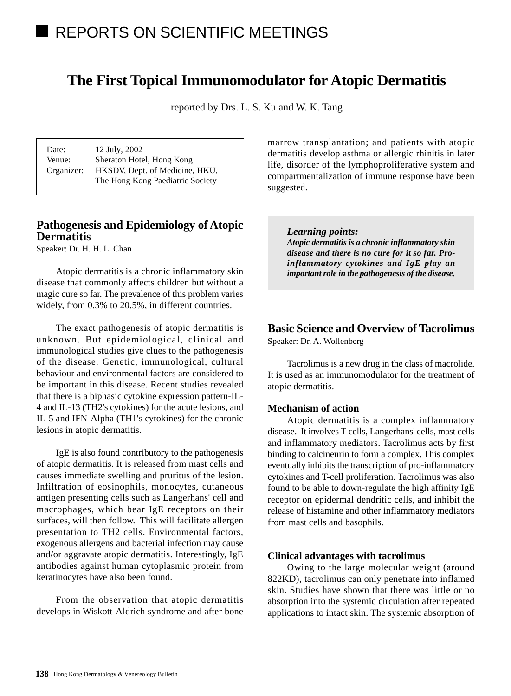# REPORTS ON SCIENTIFIC MEETINGS

# **The First Topical Immunomodulator for Atopic Dermatitis**

reported by Drs. L. S. Ku and W. K. Tang

Date: 12 July, 2002 Venue: Sheraton Hotel, Hong Kong Organizer: HKSDV, Dept. of Medicine, HKU, The Hong Kong Paediatric Society

# **Pathogenesis and Epidemiology of Atopic Dermatitis**

Speaker: Dr. H. H. L. Chan

Atopic dermatitis is a chronic inflammatory skin disease that commonly affects children but without a magic cure so far. The prevalence of this problem varies widely, from 0.3% to 20.5%, in different countries.

The exact pathogenesis of atopic dermatitis is unknown. But epidemiological, clinical and immunological studies give clues to the pathogenesis of the disease. Genetic, immunological, cultural behaviour and environmental factors are considered to be important in this disease. Recent studies revealed that there is a biphasic cytokine expression pattern-IL-4 and IL-13 (TH2's cytokines) for the acute lesions, and IL-5 and IFN-Alpha (TH1's cytokines) for the chronic lesions in atopic dermatitis.

IgE is also found contributory to the pathogenesis of atopic dermatitis. It is released from mast cells and causes immediate swelling and pruritus of the lesion. Infiltration of eosinophils, monocytes, cutaneous antigen presenting cells such as Langerhans' cell and macrophages, which bear IgE receptors on their surfaces, will then follow. This will facilitate allergen presentation to TH2 cells. Environmental factors, exogenous allergens and bacterial infection may cause and/or aggravate atopic dermatitis. Interestingly, IgE antibodies against human cytoplasmic protein from keratinocytes have also been found.

From the observation that atopic dermatitis develops in Wiskott-Aldrich syndrome and after bone

marrow transplantation; and patients with atopic dermatitis develop asthma or allergic rhinitis in later life, disorder of the lymphoproliferative system and compartmentalization of immune response have been suggested.

#### *Learning points:*

*Atopic dermatitis is a chronic inflammatory skin disease and there is no cure for it so far. Proinflammatory cytokines and IgE play an important role in the pathogenesis of the disease.*

# **Basic Science and Overview of Tacrolimus**

Speaker: Dr. A. Wollenberg

Tacrolimus is a new drug in the class of macrolide. It is used as an immunomodulator for the treatment of atopic dermatitis.

#### **Mechanism of action**

Atopic dermatitis is a complex inflammatory disease. It involves T-cells, Langerhans' cells, mast cells and inflammatory mediators. Tacrolimus acts by first binding to calcineurin to form a complex. This complex eventually inhibits the transcription of pro-inflammatory cytokines and T-cell proliferation. Tacrolimus was also found to be able to down-regulate the high affinity IgE receptor on epidermal dendritic cells, and inhibit the release of histamine and other inflammatory mediators from mast cells and basophils.

#### **Clinical advantages with tacrolimus**

Owing to the large molecular weight (around 822KD), tacrolimus can only penetrate into inflamed skin. Studies have shown that there was little or no absorption into the systemic circulation after repeated applications to intact skin. The systemic absorption of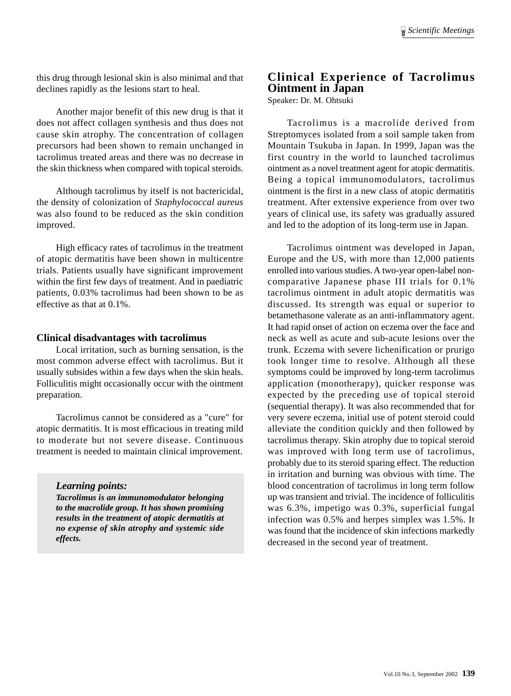this drug through lesional skin is also minimal and that declines rapidly as the lesions start to heal.

Another major benefit of this new drug is that it does not affect collagen synthesis and thus does not cause skin atrophy. The concentration of collagen precursors had been shown to remain unchanged in tacrolimus treated areas and there was no decrease in the skin thickness when compared with topical steroids.

Although tacrolimus by itself is not bactericidal, the density of colonization of *Staphylococcal aureus* was also found to be reduced as the skin condition improved.

High efficacy rates of tacrolimus in the treatment of atopic dermatitis have been shown in multicentre trials. Patients usually have significant improvement within the first few days of treatment. And in paediatric patients, 0.03% tacrolimus had been shown to be as effective as that at 0.1%.

#### **Clinical disadvantages with tacrolimus**

Local irritation, such as burning sensation, is the most common adverse effect with tacrolimus. But it usually subsides within a few days when the skin heals. Folliculitis might occasionally occur with the ointment preparation.

Tacrolimus cannot be considered as a "cure" for atopic dermatitis. It is most efficacious in treating mild to moderate but not severe disease. Continuous treatment is needed to maintain clinical improvement.

#### *Learning points:*

*Tacrolimus is an immunomodulator belonging to the macrolide group. It has shown promising results in the treatment of atopic dermatitis at no expense of skin atrophy and systemic side effects.*

# **Clinical Experience of Tacrolimus Ointment in Japan**

Speaker: Dr. M. Ohtsuki

Tacrolimus is a macrolide derived from Streptomyces isolated from a soil sample taken from Mountain Tsukuba in Japan. In 1999, Japan was the first country in the world to launched tacrolimus ointment as a novel treatment agent for atopic dermatitis. Being a topical immunomodulators, tacrolimus ointment is the first in a new class of atopic dermatitis treatment. After extensive experience from over two years of clinical use, its safety was gradually assured and led to the adoption of its long-term use in Japan.

Tacrolimus ointment was developed in Japan, Europe and the US, with more than 12,000 patients enrolled into various studies. A two-year open-label noncomparative Japanese phase III trials for 0.1% tacrolimus ointment in adult atopic dermatitis was discussed. Its strength was equal or superior to betamethasone valerate as an anti-inflammatory agent. It had rapid onset of action on eczema over the face and neck as well as acute and sub-acute lesions over the trunk. Eczema with severe lichenification or prurigo took longer time to resolve. Although all these symptoms could be improved by long-term tacrolimus application (monotherapy), quicker response was expected by the preceding use of topical steroid (sequential therapy). It was also recommended that for very severe eczema, initial use of potent steroid could alleviate the condition quickly and then followed by tacrolimus therapy. Skin atrophy due to topical steroid was improved with long term use of tacrolimus, probably due to its steroid sparing effect. The reduction in irritation and burning was obvious with time. The blood concentration of tacrolimus in long term follow up was transient and trivial. The incidence of folliculitis was 6.3%, impetigo was 0.3%, superficial fungal infection was 0.5% and herpes simplex was 1.5%. It was found that the incidence of skin infections markedly decreased in the second year of treatment.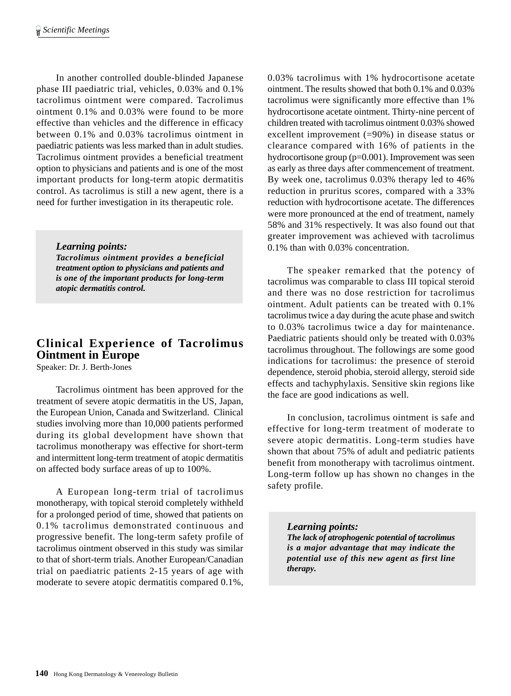In another controlled double-blinded Japanese phase III paediatric trial, vehicles, 0.03% and 0.1% tacrolimus ointment were compared. Tacrolimus ointment 0.1% and 0.03% were found to be more effective than vehicles and the difference in efficacy between 0.1% and 0.03% tacrolimus ointment in paediatric patients was less marked than in adult studies. Tacrolimus ointment provides a beneficial treatment option to physicians and patients and is one of the most important products for long-term atopic dermatitis control. As tacrolimus is still a new agent, there is a need for further investigation in its therapeutic role.

#### *Learning points:*

*Tacrolimus ointment provides a beneficial treatment option to physicians and patients and is one of the important products for long-term atopic dermatitis control.*

# **Clinical Experience of Tacrolimus Ointment in Europe**

Speaker: Dr. J. Berth-Jones

Tacrolimus ointment has been approved for the treatment of severe atopic dermatitis in the US, Japan, the European Union, Canada and Switzerland. Clinical studies involving more than 10,000 patients performed during its global development have shown that tacrolimus monotherapy was effective for short-term and intermittent long-term treatment of atopic dermatitis on affected body surface areas of up to 100%.

A European long-term trial of tacrolimus monotherapy, with topical steroid completely withheld for a prolonged period of time, showed that patients on 0.1% tacrolimus demonstrated continuous and progressive benefit. The long-term safety profile of tacrolimus ointment observed in this study was similar to that of short-term trials. Another European/Canadian trial on paediatric patients 2-15 years of age with moderate to severe atopic dermatitis compared 0.1%,

0.03% tacrolimus with 1% hydrocortisone acetate ointment. The results showed that both 0.1% and 0.03% tacrolimus were significantly more effective than 1% hydrocortisone acetate ointment. Thirty-nine percent of children treated with tacrolimus ointment 0.03% showed excellent improvement (=90%) in disease status or clearance compared with 16% of patients in the hydrocortisone group (p=0.001). Improvement was seen as early as three days after commencement of treatment. By week one, tacrolimus 0.03% therapy led to 46% reduction in pruritus scores, compared with a 33% reduction with hydrocortisone acetate. The differences were more pronounced at the end of treatment, namely 58% and 31% respectively. It was also found out that greater improvement was achieved with tacrolimus 0.1% than with 0.03% concentration.

The speaker remarked that the potency of tacrolimus was comparable to class III topical steroid and there was no dose restriction for tacrolimus ointment. Adult patients can be treated with 0.1% tacrolimus twice a day during the acute phase and switch to 0.03% tacrolimus twice a day for maintenance. Paediatric patients should only be treated with 0.03% tacrolimus throughout. The followings are some good indications for tacrolimus: the presence of steroid dependence, steroid phobia, steroid allergy, steroid side effects and tachyphylaxis. Sensitive skin regions like the face are good indications as well.

In conclusion, tacrolimus ointment is safe and effective for long-term treatment of moderate to severe atopic dermatitis. Long-term studies have shown that about 75% of adult and pediatric patients benefit from monotherapy with tacrolimus ointment. Long-term follow up has shown no changes in the safety profile.

*Learning points: The lack of atrophogenic potential of tacrolimus is a major advantage that may indicate the potential use of this new agent as first line therapy.*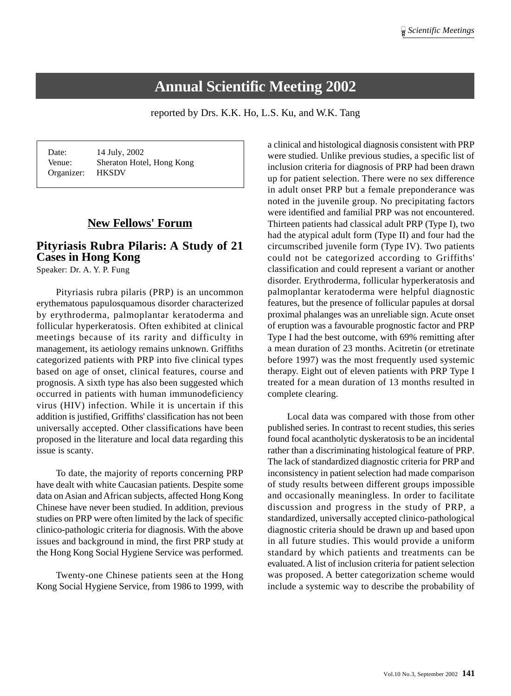# **Annual Scientific Meeting 2002**

reported by Drs. K.K. Ho, L.S. Ku, and W.K. Tang

| Date:      | 14 July, 2002             |
|------------|---------------------------|
| Venue:     | Sheraton Hotel, Hong Kong |
| Organizer: | <b>HKSDV</b>              |

# **New Fellows' Forum**

# **Pityriasis Rubra Pilaris: A Study of 21 Cases in Hong Kong**

Speaker: Dr. A. Y. P. Fung

Pityriasis rubra pilaris (PRP) is an uncommon erythematous papulosquamous disorder characterized by erythroderma, palmoplantar keratoderma and follicular hyperkeratosis. Often exhibited at clinical meetings because of its rarity and difficulty in management, its aetiology remains unknown. Griffiths categorized patients with PRP into five clinical types based on age of onset, clinical features, course and prognosis. A sixth type has also been suggested which occurred in patients with human immunodeficiency virus (HIV) infection. While it is uncertain if this addition is justified, Griffiths' classification has not been universally accepted. Other classifications have been proposed in the literature and local data regarding this issue is scanty.

To date, the majority of reports concerning PRP have dealt with white Caucasian patients. Despite some data on Asian and African subjects, affected Hong Kong Chinese have never been studied. In addition, previous studies on PRP were often limited by the lack of specific clinico-pathologic criteria for diagnosis. With the above issues and background in mind, the first PRP study at the Hong Kong Social Hygiene Service was performed.

Twenty-one Chinese patients seen at the Hong Kong Social Hygiene Service, from 1986 to 1999, with a clinical and histological diagnosis consistent with PRP were studied. Unlike previous studies, a specific list of inclusion criteria for diagnosis of PRP had been drawn up for patient selection. There were no sex difference in adult onset PRP but a female preponderance was noted in the juvenile group. No precipitating factors were identified and familial PRP was not encountered. Thirteen patients had classical adult PRP (Type I), two had the atypical adult form (Type II) and four had the circumscribed juvenile form (Type IV). Two patients could not be categorized according to Griffiths' classification and could represent a variant or another disorder. Erythroderma, follicular hyperkeratosis and palmoplantar keratoderma were helpful diagnostic features, but the presence of follicular papules at dorsal proximal phalanges was an unreliable sign. Acute onset of eruption was a favourable prognostic factor and PRP Type I had the best outcome, with 69% remitting after a mean duration of 23 months. Acitretin (or etretinate before 1997) was the most frequently used systemic therapy. Eight out of eleven patients with PRP Type I treated for a mean duration of 13 months resulted in complete clearing.

Local data was compared with those from other published series. In contrast to recent studies, this series found focal acantholytic dyskeratosis to be an incidental rather than a discriminating histological feature of PRP. The lack of standardized diagnostic criteria for PRP and inconsistency in patient selection had made comparison of study results between different groups impossible and occasionally meaningless. In order to facilitate discussion and progress in the study of PRP, a standardized, universally accepted clinico-pathological diagnostic criteria should be drawn up and based upon in all future studies. This would provide a uniform standard by which patients and treatments can be evaluated. A list of inclusion criteria for patient selection was proposed. A better categorization scheme would include a systemic way to describe the probability of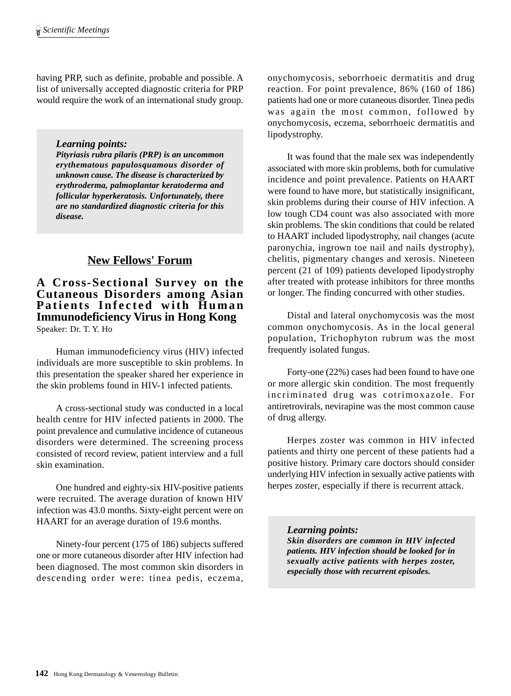having PRP, such as definite, probable and possible. A list of universally accepted diagnostic criteria for PRP would require the work of an international study group.

*Learning points:*

*Pityriasis rubra pilaris (PRP) is an uncommon erythematous papulosquamous disorder of unknown cause. The disease is characterized by erythroderma, palmoplantar keratoderma and follicular hyperkeratosis. Unfortunately, there are no standardized diagnostic criteria for this disease.*

# **New Fellows' Forum**

### **A Cross-Sectional Survey on the Cutaneous Disorders among Asian Patients Infected with Human Immunodeficiency Virus in Hong Kong** Speaker: Dr. T. Y. Ho

Human immunodeficiency virus (HIV) infected individuals are more susceptible to skin problems. In this presentation the speaker shared her experience in the skin problems found in HIV-1 infected patients.

A cross-sectional study was conducted in a local health centre for HIV infected patients in 2000. The point prevalence and cumulative incidence of cutaneous disorders were determined. The screening process consisted of record review, patient interview and a full skin examination.

One hundred and eighty-six HIV-positive patients were recruited. The average duration of known HIV infection was 43.0 months. Sixty-eight percent were on HAART for an average duration of 19.6 months.

Ninety-four percent (175 of 186) subjects suffered one or more cutaneous disorder after HIV infection had been diagnosed. The most common skin disorders in descending order were: tinea pedis, eczema, onychomycosis, seborrhoeic dermatitis and drug reaction. For point prevalence, 86% (160 of 186) patients had one or more cutaneous disorder. Tinea pedis was again the most common, followed by onychomycosis, eczema, seborrhoeic dermatitis and lipodystrophy.

It was found that the male sex was independently associated with more skin problems, both for cumulative incidence and point prevalence. Patients on HAART were found to have more, but statistically insignificant, skin problems during their course of HIV infection. A low tough CD4 count was also associated with more skin problems. The skin conditions that could be related to HAART included lipodystrophy, nail changes (acute paronychia, ingrown toe nail and nails dystrophy), chelitis, pigmentary changes and xerosis. Nineteen percent (21 of 109) patients developed lipodystrophy after treated with protease inhibitors for three months or longer. The finding concurred with other studies.

Distal and lateral onychomycosis was the most common onychomycosis. As in the local general population, Trichophyton rubrum was the most frequently isolated fungus.

Forty-one (22%) cases had been found to have one or more allergic skin condition. The most frequently incriminated drug was cotrimoxazole. For antiretrovirals, nevirapine was the most common cause of drug allergy.

Herpes zoster was common in HIV infected patients and thirty one percent of these patients had a positive history. Primary care doctors should consider underlying HIV infection in sexually active patients with herpes zoster, especially if there is recurrent attack.

*Learning points: Skin disorders are common in HIV infected patients. HIV infection should be looked for in sexually active patients with herpes zoster, especially those with recurrent episodes.*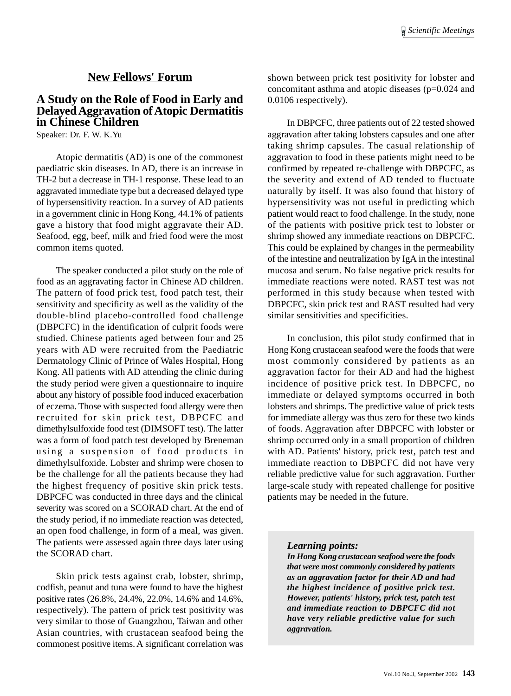# **New Fellows' Forum**

#### **A Study on the Role of Food in Early and Delayed Aggravation of Atopic Dermatitis in Chinese Children**

Speaker: Dr. F. W. K.Yu

Atopic dermatitis (AD) is one of the commonest paediatric skin diseases. In AD, there is an increase in TH-2 but a decrease in TH-1 response. These lead to an aggravated immediate type but a decreased delayed type of hypersensitivity reaction. In a survey of AD patients in a government clinic in Hong Kong, 44.1% of patients gave a history that food might aggravate their AD. Seafood, egg, beef, milk and fried food were the most common items quoted.

The speaker conducted a pilot study on the role of food as an aggravating factor in Chinese AD children. The pattern of food prick test, food patch test, their sensitivity and specificity as well as the validity of the double-blind placebo-controlled food challenge (DBPCFC) in the identification of culprit foods were studied. Chinese patients aged between four and 25 years with AD were recruited from the Paediatric Dermatology Clinic of Prince of Wales Hospital, Hong Kong. All patients with AD attending the clinic during the study period were given a questionnaire to inquire about any history of possible food induced exacerbation of eczema. Those with suspected food allergy were then recruited for skin prick test, DBPCFC and dimethylsulfoxide food test (DIMSOFT test). The latter was a form of food patch test developed by Breneman using a suspension of food products in dimethylsulfoxide. Lobster and shrimp were chosen to be the challenge for all the patients because they had the highest frequency of positive skin prick tests. DBPCFC was conducted in three days and the clinical severity was scored on a SCORAD chart. At the end of the study period, if no immediate reaction was detected, an open food challenge, in form of a meal, was given. The patients were assessed again three days later using the SCORAD chart.

Skin prick tests against crab, lobster, shrimp, codfish, peanut and tuna were found to have the highest positive rates (26.8%, 24.4%, 22.0%, 14.6% and 14.6%, respectively). The pattern of prick test positivity was very similar to those of Guangzhou, Taiwan and other Asian countries, with crustacean seafood being the commonest positive items. A significant correlation was

shown between prick test positivity for lobster and concomitant asthma and atopic diseases (p=0.024 and 0.0106 respectively).

In DBPCFC, three patients out of 22 tested showed aggravation after taking lobsters capsules and one after taking shrimp capsules. The casual relationship of aggravation to food in these patients might need to be confirmed by repeated re-challenge with DBPCFC, as the severity and extend of AD tended to fluctuate naturally by itself. It was also found that history of hypersensitivity was not useful in predicting which patient would react to food challenge. In the study, none of the patients with positive prick test to lobster or shrimp showed any immediate reactions on DBPCFC. This could be explained by changes in the permeability of the intestine and neutralization by IgA in the intestinal mucosa and serum. No false negative prick results for immediate reactions were noted. RAST test was not performed in this study because when tested with DBPCFC, skin prick test and RAST resulted had very similar sensitivities and specificities.

In conclusion, this pilot study confirmed that in Hong Kong crustacean seafood were the foods that were most commonly considered by patients as an aggravation factor for their AD and had the highest incidence of positive prick test. In DBPCFC, no immediate or delayed symptoms occurred in both lobsters and shrimps. The predictive value of prick tests for immediate allergy was thus zero for these two kinds of foods. Aggravation after DBPCFC with lobster or shrimp occurred only in a small proportion of children with AD. Patients' history, prick test, patch test and immediate reaction to DBPCFC did not have very reliable predictive value for such aggravation. Further large-scale study with repeated challenge for positive patients may be needed in the future.

#### *Learning points:*

*In Hong Kong crustacean seafood were the foods that were most commonly considered by patients as an aggravation factor for their AD and had the highest incidence of positive prick test. However, patients' history, prick test, patch test and immediate reaction to DBPCFC did not have very reliable predictive value for such aggravation.*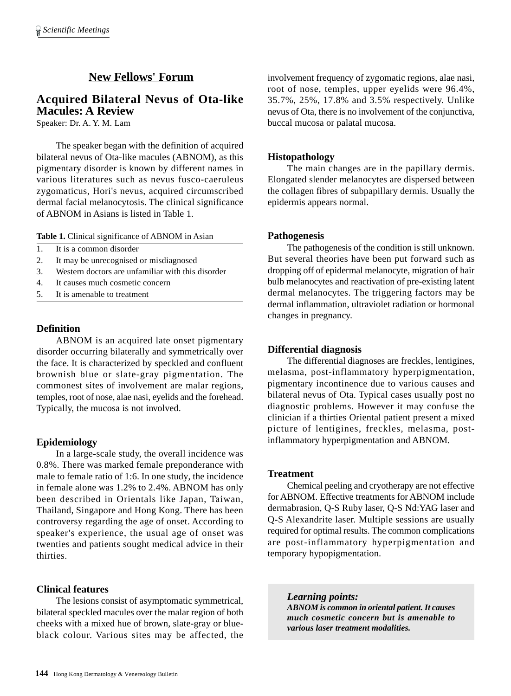# **New Fellows' Forum**

## **Acquired Bilateral Nevus of Ota-like Macules: A Review**

Speaker: Dr. A. Y. M. Lam

The speaker began with the definition of acquired bilateral nevus of Ota-like macules (ABNOM), as this pigmentary disorder is known by different names in various literatures such as nevus fusco-caeruleus zygomaticus, Hori's nevus, acquired circumscribed dermal facial melanocytosis. The clinical significance of ABNOM in Asians is listed in Table 1.

**Table 1.** Clinical significance of ABNOM in Asian

- 1. It is a common disorder
- 2. It may be unrecognised or misdiagnosed
- 3. Western doctors are unfamiliar with this disorder
- 4. It causes much cosmetic concern
- 5. It is amenable to treatment

#### **Definition**

ABNOM is an acquired late onset pigmentary disorder occurring bilaterally and symmetrically over the face. It is characterized by speckled and confluent brownish blue or slate-gray pigmentation. The commonest sites of involvement are malar regions, temples, root of nose, alae nasi, eyelids and the forehead. Typically, the mucosa is not involved.

#### **Epidemiology**

In a large-scale study, the overall incidence was 0.8%. There was marked female preponderance with male to female ratio of 1:6. In one study, the incidence in female alone was 1.2% to 2.4%. ABNOM has only been described in Orientals like Japan, Taiwan, Thailand, Singapore and Hong Kong. There has been controversy regarding the age of onset. According to speaker's experience, the usual age of onset was twenties and patients sought medical advice in their thirties.

#### **Clinical features**

The lesions consist of asymptomatic symmetrical, bilateral speckled macules over the malar region of both cheeks with a mixed hue of brown, slate-gray or blueblack colour. Various sites may be affected, the

involvement frequency of zygomatic regions, alae nasi, root of nose, temples, upper eyelids were 96.4%, 35.7%, 25%, 17.8% and 3.5% respectively. Unlike nevus of Ota, there is no involvement of the conjunctiva, buccal mucosa or palatal mucosa.

#### **Histopathology**

The main changes are in the papillary dermis. Elongated slender melanocytes are dispersed between the collagen fibres of subpapillary dermis. Usually the epidermis appears normal.

#### **Pathogenesis**

The pathogenesis of the condition is still unknown. But several theories have been put forward such as dropping off of epidermal melanocyte, migration of hair bulb melanocytes and reactivation of pre-existing latent dermal melanocytes. The triggering factors may be dermal inflammation, ultraviolet radiation or hormonal changes in pregnancy.

#### **Differential diagnosis**

The differential diagnoses are freckles, lentigines, melasma, post-inflammatory hyperpigmentation, pigmentary incontinence due to various causes and bilateral nevus of Ota. Typical cases usually post no diagnostic problems. However it may confuse the clinician if a thirties Oriental patient present a mixed picture of lentigines, freckles, melasma, postinflammatory hyperpigmentation and ABNOM.

#### **Treatment**

Chemical peeling and cryotherapy are not effective for ABNOM. Effective treatments for ABNOM include dermabrasion, Q-S Ruby laser, Q-S Nd:YAG laser and Q-S Alexandrite laser. Multiple sessions are usually required for optimal results. The common complications are post-inflammatory hyperpigmentation and temporary hypopigmentation.

*Learning points:*

*ABNOM is common in oriental patient. It causes much cosmetic concern but is amenable to various laser treatment modalities.*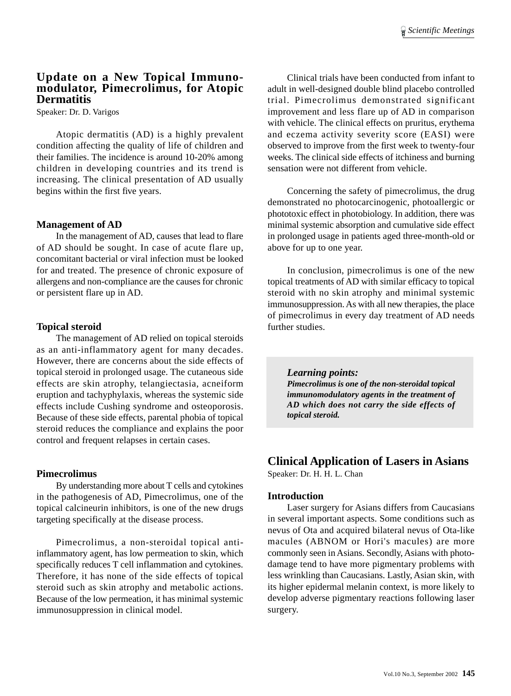#### **Update on a New Topical Immunomodulator, Pimecrolimus, for Atopic Dermatitis**

Speaker: Dr. D. Varigos

Atopic dermatitis (AD) is a highly prevalent condition affecting the quality of life of children and their families. The incidence is around 10-20% among children in developing countries and its trend is increasing. The clinical presentation of AD usually begins within the first five years.

#### **Management of AD**

In the management of AD, causes that lead to flare of AD should be sought. In case of acute flare up, concomitant bacterial or viral infection must be looked for and treated. The presence of chronic exposure of allergens and non-compliance are the causes for chronic or persistent flare up in AD.

#### **Topical steroid**

The management of AD relied on topical steroids as an anti-inflammatory agent for many decades. However, there are concerns about the side effects of topical steroid in prolonged usage. The cutaneous side effects are skin atrophy, telangiectasia, acneiform eruption and tachyphylaxis, whereas the systemic side effects include Cushing syndrome and osteoporosis. Because of these side effects, parental phobia of topical steroid reduces the compliance and explains the poor control and frequent relapses in certain cases.

#### **Pimecrolimus**

By understanding more about T cells and cytokines in the pathogenesis of AD, Pimecrolimus, one of the topical calcineurin inhibitors, is one of the new drugs targeting specifically at the disease process.

Pimecrolimus, a non-steroidal topical antiinflammatory agent, has low permeation to skin, which specifically reduces T cell inflammation and cytokines. Therefore, it has none of the side effects of topical steroid such as skin atrophy and metabolic actions. Because of the low permeation, it has minimal systemic immunosuppression in clinical model.

Clinical trials have been conducted from infant to adult in well-designed double blind placebo controlled trial. Pimecrolimus demonstrated significant improvement and less flare up of AD in comparison with vehicle. The clinical effects on pruritus, erythema and eczema activity severity score (EASI) were observed to improve from the first week to twenty-four weeks. The clinical side effects of itchiness and burning sensation were not different from vehicle.

Concerning the safety of pimecrolimus, the drug demonstrated no photocarcinogenic, photoallergic or phototoxic effect in photobiology. In addition, there was minimal systemic absorption and cumulative side effect in prolonged usage in patients aged three-month-old or above for up to one year.

In conclusion, pimecrolimus is one of the new topical treatments of AD with similar efficacy to topical steroid with no skin atrophy and minimal systemic immunosuppression. As with all new therapies, the place of pimecrolimus in every day treatment of AD needs further studies.

#### *Learning points:*

*Pimecrolimus is one of the non-steroidal topical immunomodulatory agents in the treatment of AD which does not carry the side effects of topical steroid.*

#### **Clinical Application of Lasers in Asians**

Speaker: Dr. H. H. L. Chan

#### **Introduction**

Laser surgery for Asians differs from Caucasians in several important aspects. Some conditions such as nevus of Ota and acquired bilateral nevus of Ota-like macules (ABNOM or Hori's macules) are more commonly seen in Asians. Secondly, Asians with photodamage tend to have more pigmentary problems with less wrinkling than Caucasians. Lastly, Asian skin, with its higher epidermal melanin context, is more likely to develop adverse pigmentary reactions following laser surgery.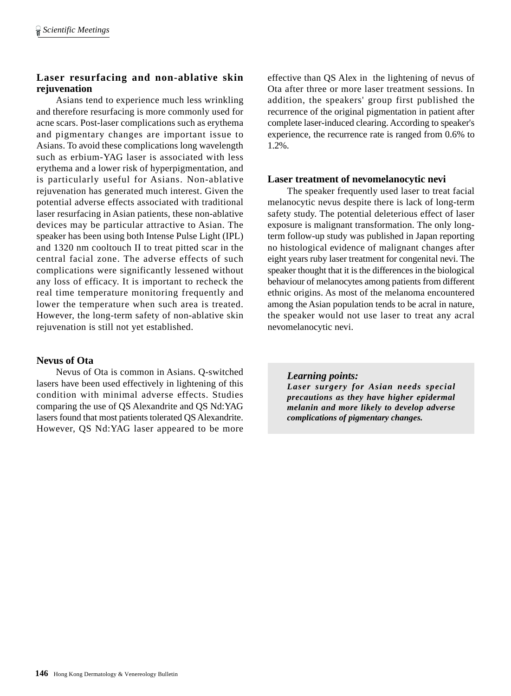### **Laser resurfacing and non-ablative skin rejuvenation**

Asians tend to experience much less wrinkling and therefore resurfacing is more commonly used for acne scars. Post-laser complications such as erythema and pigmentary changes are important issue to Asians. To avoid these complications long wavelength such as erbium-YAG laser is associated with less erythema and a lower risk of hyperpigmentation, and is particularly useful for Asians. Non-ablative rejuvenation has generated much interest. Given the potential adverse effects associated with traditional laser resurfacing in Asian patients, these non-ablative devices may be particular attractive to Asian. The speaker has been using both Intense Pulse Light (IPL) and 1320 nm cooltouch II to treat pitted scar in the central facial zone. The adverse effects of such complications were significantly lessened without any loss of efficacy. It is important to recheck the real time temperature monitoring frequently and lower the temperature when such area is treated. However, the long-term safety of non-ablative skin rejuvenation is still not yet established.

### **Nevus of Ota**

Nevus of Ota is common in Asians. Q-switched lasers have been used effectively in lightening of this condition with minimal adverse effects. Studies comparing the use of QS Alexandrite and QS Nd:YAG lasers found that most patients tolerated QS Alexandrite. However, QS Nd:YAG laser appeared to be more effective than QS Alex in the lightening of nevus of Ota after three or more laser treatment sessions. In addition, the speakers' group first published the recurrence of the original pigmentation in patient after complete laser-induced clearing. According to speaker's experience, the recurrence rate is ranged from 0.6% to 1.2%.

#### **Laser treatment of nevomelanocytic nevi**

The speaker frequently used laser to treat facial melanocytic nevus despite there is lack of long-term safety study. The potential deleterious effect of laser exposure is malignant transformation. The only longterm follow-up study was published in Japan reporting no histological evidence of malignant changes after eight years ruby laser treatment for congenital nevi. The speaker thought that it is the differences in the biological behaviour of melanocytes among patients from different ethnic origins. As most of the melanoma encountered among the Asian population tends to be acral in nature, the speaker would not use laser to treat any acral nevomelanocytic nevi.

*Learning points:*

*Laser surgery for Asian needs special precautions as they have higher epidermal melanin and more likely to develop adverse complications of pigmentary changes.*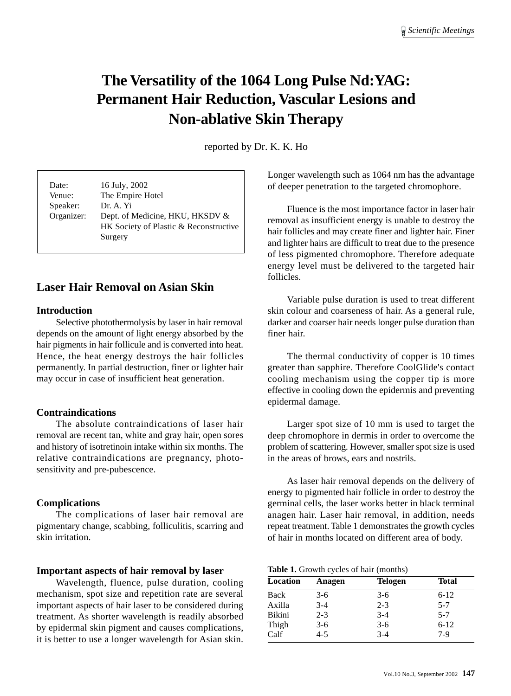# **The Versatility of the 1064 Long Pulse Nd:YAG: Permanent Hair Reduction, Vascular Lesions and Non-ablative Skin Therapy**

reported by Dr. K. K. Ho

| Date:<br>Venue:<br>Speaker:<br>Organizer: | 16 July, 2002<br>The Empire Hotel<br>Dr. A. Yi<br>Dept. of Medicine, HKU, HKSDV &<br>HK Society of Plastic & Reconstructive<br>Surgery |
|-------------------------------------------|----------------------------------------------------------------------------------------------------------------------------------------|
|                                           |                                                                                                                                        |

# **Laser Hair Removal on Asian Skin**

#### **Introduction**

Selective photothermolysis by laser in hair removal depends on the amount of light energy absorbed by the hair pigments in hair follicule and is converted into heat. Hence, the heat energy destroys the hair follicles permanently. In partial destruction, finer or lighter hair may occur in case of insufficient heat generation.

#### **Contraindications**

The absolute contraindications of laser hair removal are recent tan, white and gray hair, open sores and history of isotretinoin intake within six months. The relative contraindications are pregnancy, photosensitivity and pre-pubescence.

#### **Complications**

The complications of laser hair removal are pigmentary change, scabbing, folliculitis, scarring and skin irritation.

#### **Important aspects of hair removal by laser**

Wavelength, fluence, pulse duration, cooling mechanism, spot size and repetition rate are several important aspects of hair laser to be considered during treatment. As shorter wavelength is readily absorbed by epidermal skin pigment and causes complications, it is better to use a longer wavelength for Asian skin.

Longer wavelength such as 1064 nm has the advantage of deeper penetration to the targeted chromophore.

Fluence is the most importance factor in laser hair removal as insufficient energy is unable to destroy the hair follicles and may create finer and lighter hair. Finer and lighter hairs are difficult to treat due to the presence of less pigmented chromophore. Therefore adequate energy level must be delivered to the targeted hair follicles.

Variable pulse duration is used to treat different skin colour and coarseness of hair. As a general rule, darker and coarser hair needs longer pulse duration than finer hair.

The thermal conductivity of copper is 10 times greater than sapphire. Therefore CoolGlide's contact cooling mechanism using the copper tip is more effective in cooling down the epidermis and preventing epidermal damage.

Larger spot size of 10 mm is used to target the deep chromophore in dermis in order to overcome the problem of scattering. However, smaller spot size is used in the areas of brows, ears and nostrils.

As laser hair removal depends on the delivery of energy to pigmented hair follicle in order to destroy the germinal cells, the laser works better in black terminal anagen hair. Laser hair removal, in addition, needs repeat treatment. Table 1 demonstrates the growth cycles of hair in months located on different area of body.

**Table 1.** Growth cycles of hair (months)

| Location      | Anagen  | <b>Telogen</b> | <b>Total</b> |
|---------------|---------|----------------|--------------|
| Back          | $3-6$   | $3-6$          | $6-12$       |
| Axilla        | $3-4$   | $2 - 3$        | $5 - 7$      |
| <b>Bikini</b> | $2 - 3$ | $3 - 4$        | $5 - 7$      |
| Thigh         | $3-6$   | $3-6$          | $6 - 12$     |
| Calf          | $4 - 5$ | $3-4$          | $7-9$        |